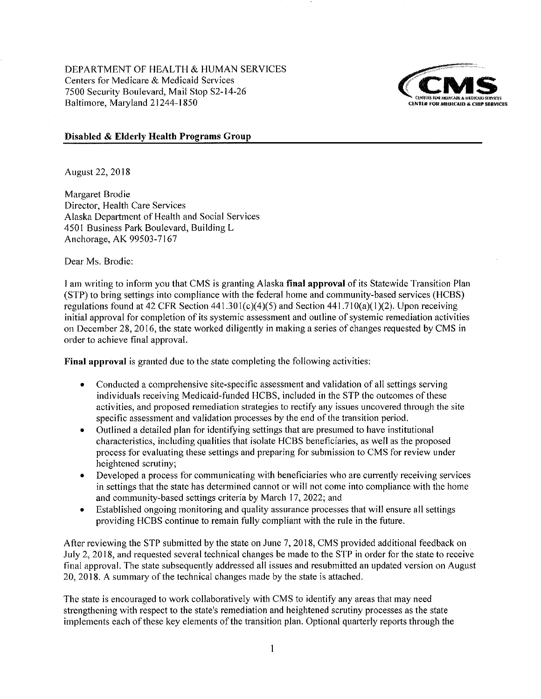DEPARTMENT OF HEALTH & HUMAN SERVICES Centers for Medicare & Medicaid Services 7500 Security Boulevard, Mail Stop S2-14-26 Baltimore, Maryland 21244-1850



#### Disabled & Elderly Health Programs Group

August 22, 2018

Margaret Brodie Director, Health Care Services Alaska Department of Health and Social Services 4501 Business Park Boulevard, Building L Anchorage, AK 99503-7167

Dear Ms. Brodie:

I am writing to inform you that CMS is granting Alaska final approval of its Statewide Transition Plan (STP) to bring settings into compliance with the federal home and community-based services (HCBS) regulations found at 42 CFR Section  $441.301(c)(4)(5)$  and Section  $441.710(a)(1)(2)$ . Upon receiving initial approval for completion of its systemic assessment and outline of systemic remediation activities on December 28, 2016, the state worked diligently in making a series of changes requested by CMS in order to achieve final approval.

Final approval is granted due to the state completing the following activities:

- Conducted a comprehensive site-specific assessment and validation of all settings serving individuals receiving Medicaid-funded HCBS, included in the STP the outcomes of these activities, and proposed remediation strategies to rectify any issues uncovered through the site specific assessment and validation processes by the end of the transition period.
- Outlined a detailed plan for identifying settings that are presumed to have institutional characteristics, including qualities that isolate HCBS beneficiaries, as well as the proposed process for evaluating these settings and preparing for submission to CMS for review under heightened scrutiny;
- Developed a process for communicating with beneficiaries who are currently receiving services in settings that the state has determined cannot or will not come into compliance with the home and community-based settings criteria by March 17, 2022; and
- Established ongoing monitoring and quality assurance processes that will ensure all settings  $\bullet$ providing HCBS continue to remain fully compliant with the rule in the future.

After reviewing the STP submitted by the state on June 7, 2018, CMS provided additional feedback on July 2, 2018, and requested several technical changes be made to the STP in order for the state to receive final approval. The state subsequently addressed all issues and resubmitted an updated version on August 20, 2018. A summary of the technical changes made by the state is attached.

The state is encouraged to work collaboratively with CMS to identify any areas that may need strengthening with respect to the state's remediation and heightened scrutiny processes as the state implements each of these key elements of the transition plan. Optional quarterly reports through the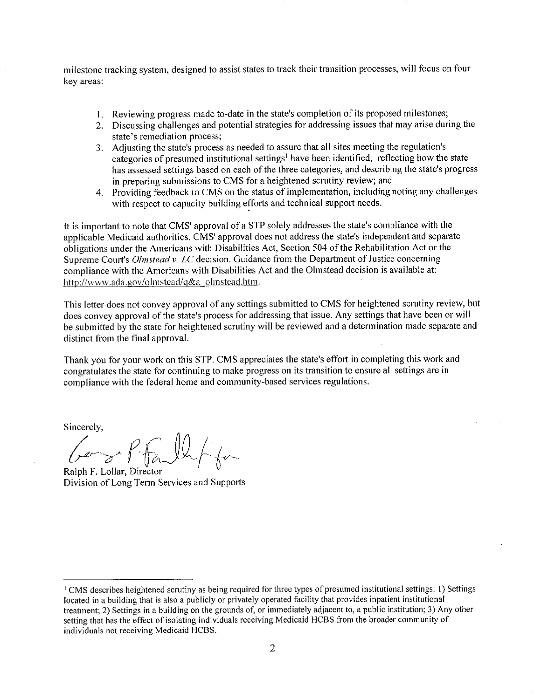milestone tracking system, designed to assist states to track their transition processes, will focus on four kev areas:

- 1. Reviewing progress made to-date in the state's completion of its proposed milestones;
- 2. Discussing challenges and potential strategies for addressing issues that may arise during the state's remediation process:
- 3. Adjusting the state's process as needed to assure that all sites meeting the regulation's categories of presumed institutional settings<sup>1</sup> have been identified, reflecting how the state has assessed settings based on each of the three categories, and describing the state's progress in preparing submissions to CMS for a heightened scrutiny review; and
- 4. Providing feedback to CMS on the status of implementation, including noting any challenges with respect to capacity building efforts and technical support needs.

It is important to note that CMS' approval of a STP solely addresses the state's compliance with the applicable Medicaid authorities. CMS' approval does not address the state's independent and separate obligations under the Americans with Disabilities Act, Section 504 of the Rehabilitation Act or the Supreme Court's *Olmstead v. LC* decision. Guidance from the Department of Justice concerning compliance with the Americans with Disabilities Act and the Olmstead decision is available at: http://www.ada.gov/olmstead/q&a\_olmstead.htm.

This letter does not convey approval of any settings submitted to CMS for heightened scrutiny review, but does convey approval of the state's process for addressing that issue. Any settings that have been or will be submitted by the state for heightened scrutiny will be reviewed and a determination made separate and distinct from the final approval.

Thank you for your work on this STP. CMS appreciates the state's effort in completing this work and congratulates the state for continuing to make progress on its transition to ensure all settings are in compliance with the federal home and community-based services regulations.

Sincerely,

Gaze P. Fallet for

Ralph F. Lollar, Director Division of Long Term Services and Supports

CMS describes heightened scrutiny as being required for three types of presumed institutional settings: 1) Settings located in a building that is also a publicly or privately operated facility that provides inpatient institutional treatment: 2) Settings in a building on the grounds of, or immediately adjacent to, a public institution; 3) Any other setting that has the effect of isolating individuals receiving Medicaid HCBS from the broader community of individuals not receiving Medicaid HCBS.